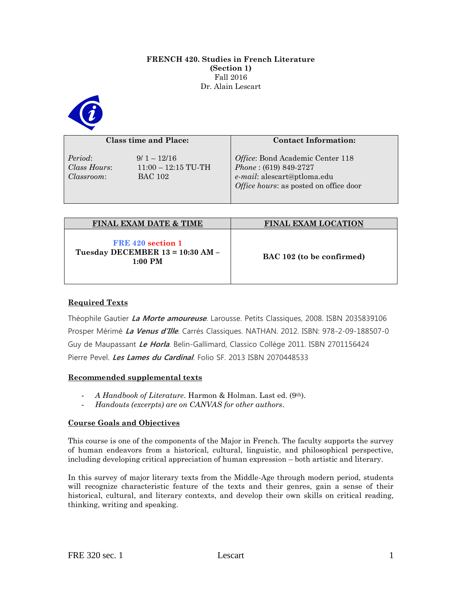#### **FRENCH 420. Studies in French Literature (Section 1)** Fall 2016 Dr. Alain Lescart



#### **Class time and Place:**

*Period*: 9/ 1 – 12/16 *Classroom*: BAC 102

*Class Hours*: 11:00 – 12:15 TU-TH

# *Office*: Bond Academic Center 118 *Phone* : (619) 849-2727 *e-mail*: alescart@ptloma.edu *Office hours*: as posted on office door

**Contact Information:**

| <b>FINAL EXAM DATE &amp; TIME</b>                                  | <b>FINAL EXAM LOCATION</b> |
|--------------------------------------------------------------------|----------------------------|
| FRE 420 section 1<br>Tuesday DECEMBER 13 = 10:30 AM -<br>$1:00$ PM | BAC 102 (to be confirmed)  |

# **Required Texts**

Théophile Gautier **La Morte amoureuse**. Larousse. Petits Classiques, 2008. ISBN 2035839106 Prosper Mérimé **La Venus d'Ille**. Carrés Classiques. NATHAN. 2012. ISBN: 978-2-09-188507-0 Guy de Maupassant **Le Horla**. Belin-Gallimard, Classico Collège 2011. ISBN 2701156424 Pierre Pevel. **Les Lames du Cardinal**. Folio SF. 2013 ISBN 2070448533

# **Recommended supplemental texts**

- *A Handbook of Literature*. Harmon & Holman. Last ed. (9th).
- *Handouts (excerpts) are on CANVAS for other authors*.

# **Course Goals and Objectives**

This course is one of the components of the Major in French. The faculty supports the survey of human endeavors from a historical, cultural, linguistic, and philosophical perspective, including developing critical appreciation of human expression – both artistic and literary.

In this survey of major literary texts from the Middle-Age through modern period, students will recognize characteristic feature of the texts and their genres, gain a sense of their historical, cultural, and literary contexts, and develop their own skills on critical reading, thinking, writing and speaking.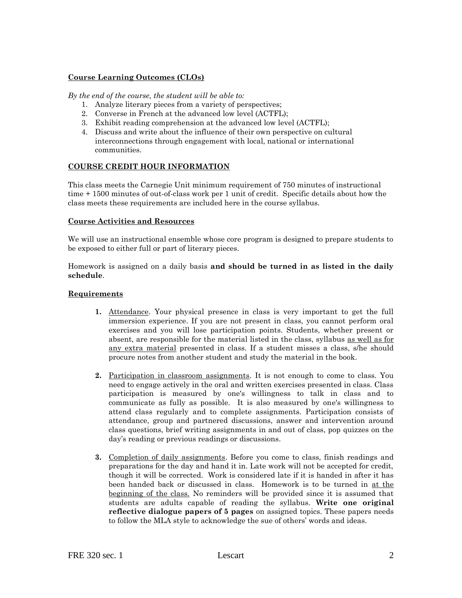#### **Course Learning Outcomes (CLOs)**

#### *By the end of the course, the student will be able to:*

- 1. Analyze literary pieces from a variety of perspectives;
- 2. Converse in French at the advanced low level (ACTFL);
- 3. Exhibit reading comprehension at the advanced low level (ACTFL);
- 4. Discuss and write about the influence of their own perspective on cultural interconnections through engagement with local, national or international communities.

#### **COURSE CREDIT HOUR INFORMATION**

This class meets the Carnegie Unit minimum requirement of 750 minutes of instructional time + 1500 minutes of out-of-class work per 1 unit of credit. Specific details about how the class meets these requirements are included here in the course syllabus.

#### **Course Activities and Resources**

We will use an instructional ensemble whose core program is designed to prepare students to be exposed to either full or part of literary pieces.

Homework is assigned on a daily basis **and should be turned in as listed in the daily schedule**.

#### **Requirements**

- **1.** Attendance. Your physical presence in class is very important to get the full immersion experience. If you are not present in class, you cannot perform oral exercises and you will lose participation points. Students, whether present or absent, are responsible for the material listed in the class, syllabus as well as for any extra material presented in class. If a student misses a class, s/he should procure notes from another student and study the material in the book.
- **2.** Participation in classroom assignments. It is not enough to come to class. You need to engage actively in the oral and written exercises presented in class. Class participation is measured by one's willingness to talk in class and to communicate as fully as possible. It is also measured by one's willingness to attend class regularly and to complete assignments. Participation consists of attendance, group and partnered discussions, answer and intervention around class questions, brief writing assignments in and out of class, pop quizzes on the day's reading or previous readings or discussions.
- **3.** Completion of daily assignments. Before you come to class, finish readings and preparations for the day and hand it in. Late work will not be accepted for credit, though it will be corrected. Work is considered late if it is handed in after it has been handed back or discussed in class. Homework is to be turned in at the beginning of the class. No reminders will be provided since it is assumed that students are adults capable of reading the syllabus. **Write one original reflective dialogue papers of 5 pages** on assigned topics. These papers needs to follow the MLA style to acknowledge the sue of others' words and ideas.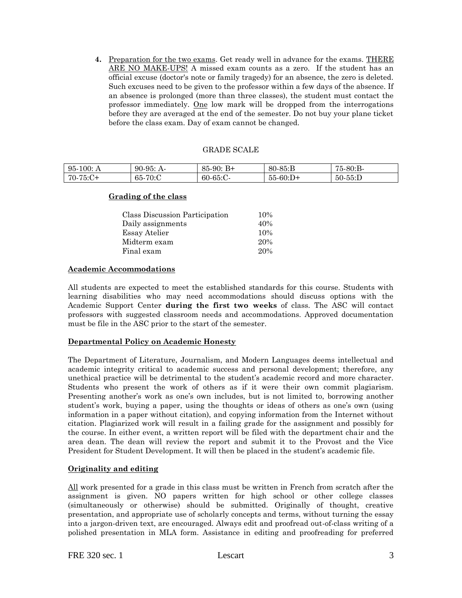**4.** Preparation for the two exams. Get ready well in advance for the exams. THERE ARE NO MAKE-UPS! A missed exam counts as a zero. If the student has an official excuse (doctor's note or family tragedy) for an absence, the zero is deleted. Such excuses need to be given to the professor within a few days of the absence. If an absence is prolonged (more than three classes), the student must contact the professor immediately. One low mark will be dropped from the interrogations before they are averaged at the end of the semester. Do not buy your plane ticket before the class exam. Day of exam cannot be changed.

#### GRADE SCALE

| 95-<br>$-100:$ A          | $90-95: A-$     | $B+$<br>85:<br>$-90:$ | $80-85: B$    | 75-80:B-   |
|---------------------------|-----------------|-----------------------|---------------|------------|
| $70-75:C+$<br>$\cdot$ . U | $-70$ :C<br>65- | $60-65$ :C-           | $55 - 60$ :D+ | $50-55$ :D |

#### **Grading of the class**

| Class Discussion Participation | 10% |
|--------------------------------|-----|
| Daily assignments              | 40% |
| Essay Atelier                  | 10% |
| Midterm exam                   | 20% |
| Final exam                     | 20% |

# **Academic Accommodations**

All students are expected to meet the established standards for this course. Students with learning disabilities who may need accommodations should discuss options with the Academic Support Center **during the first two weeks** of class. The ASC will contact professors with suggested classroom needs and accommodations. Approved documentation must be file in the ASC prior to the start of the semester.

# **Departmental Policy on Academic Honesty**

The Department of Literature, Journalism, and Modern Languages deems intellectual and academic integrity critical to academic success and personal development; therefore, any unethical practice will be detrimental to the student's academic record and more character. Students who present the work of others as if it were their own commit plagiarism. Presenting another's work as one's own includes, but is not limited to, borrowing another student's work, buying a paper, using the thoughts or ideas of others as one's own (using information in a paper without citation), and copying information from the Internet without citation. Plagiarized work will result in a failing grade for the assignment and possibly for the course. In either event, a written report will be filed with the department chair and the area dean. The dean will review the report and submit it to the Provost and the Vice President for Student Development. It will then be placed in the student's academic file.

# **Originality and editing**

All work presented for a grade in this class must be written in French from scratch after the assignment is given. NO papers written for high school or other college classes (simultaneously or otherwise) should be submitted. Originally of thought, creative presentation, and appropriate use of scholarly concepts and terms, without turning the essay into a jargon-driven text, are encouraged. Always edit and proofread out-of-class writing of a polished presentation in MLA form. Assistance in editing and proofreading for preferred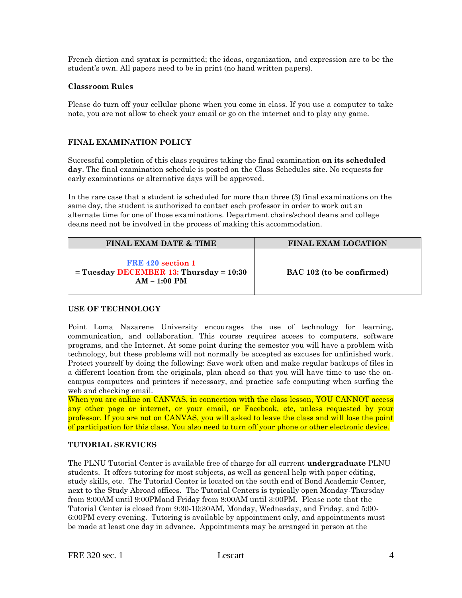French diction and syntax is permitted; the ideas, organization, and expression are to be the student's own. All papers need to be in print (no hand written papers).

#### **Classroom Rules**

Please do turn off your cellular phone when you come in class. If you use a computer to take note, you are not allow to check your email or go on the internet and to play any game.

#### **FINAL EXAMINATION POLICY**

Successful completion of this class requires taking the final examination **on its scheduled day**. The final examination schedule is posted on the Class Schedules site. No requests for early examinations or alternative days will be approved.

In the rare case that a student is scheduled for more than three (3) final examinations on the same day, the student is authorized to contact each professor in order to work out an alternate time for one of those examinations. Department chairs/school deans and college deans need not be involved in the process of making this accommodation.

| <b>FINAL EXAM DATE &amp; TIME</b>                                                  | <b>FINAL EXAM LOCATION</b> |
|------------------------------------------------------------------------------------|----------------------------|
| FRE 420 section 1<br>$=$ Tuesday DECEMBER 13: Thursday $= 10:30$<br>$AM - 1:00 PM$ | BAC 102 (to be confirmed)  |

# **USE OF TECHNOLOGY**

Point Loma Nazarene University encourages the use of technology for learning, communication, and collaboration. This course requires access to computers, software programs, and the Internet. At some point during the semester you will have a problem with technology, but these problems will not normally be accepted as excuses for unfinished work. Protect yourself by doing the following: Save work often and make regular backups of files in a different location from the originals, plan ahead so that you will have time to use the oncampus computers and printers if necessary, and practice safe computing when surfing the web and checking email.

When you are online on CANVAS, in connection with the class lesson, YOU CANNOT access any other page or internet, or your email, or Facebook, etc, unless requested by your professor. If you are not on CANVAS, you will asked to leave the class and will lose the point of participation for this class. You also need to turn off your phone or other electronic device.

# **TUTORIAL SERVICES**

**T**he PLNU Tutorial Center is available free of charge for all current **undergraduate** PLNU students. It offers tutoring for most subjects, as well as general help with paper editing, study skills, etc. The Tutorial Center is located on the south end of Bond Academic Center, next to the Study Abroad offices. The Tutorial Centers is typically open Monday-Thursday from 8:00AM until 9:00PMand Friday from 8:00AM until 3:00PM. Please note that the Tutorial Center is closed from 9:30-10:30AM, Monday, Wednesday, and Friday, and 5:00- 6:00PM every evening. Tutoring is available by appointment only, and appointments must be made at least one day in advance. Appointments may be arranged in person at the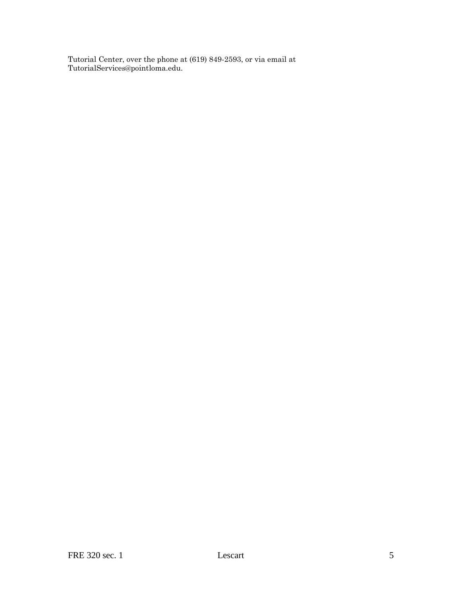Tutorial Center, over the phone at (619) 849-2593, or via email at TutorialServices@pointloma.edu.